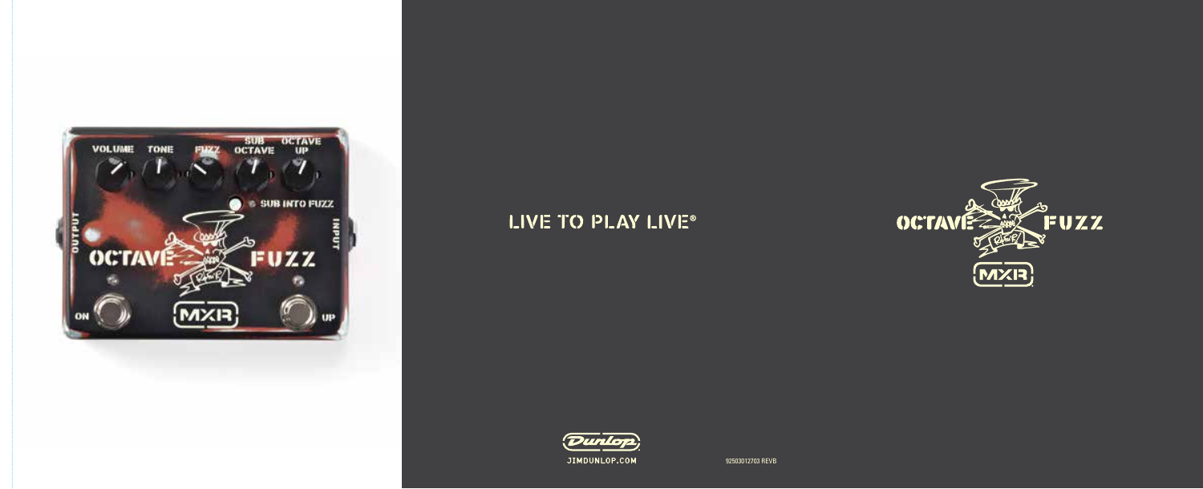

# LIVE TO PLAY LIVE®





92503012703 REVB